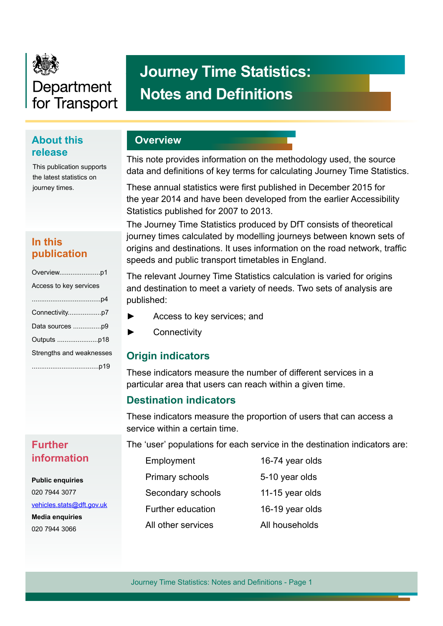

# Department for Transport

# **Journey Time Statistics: Notes and Definitions**

# **About this release**

This publication supports the latest statistics on journey times.

# **In this publication**

| Overviewp1               |
|--------------------------|
| Access to key services   |
|                          |
|                          |
|                          |
|                          |
| Strengths and weaknesses |
|                          |

# **Further information**

**Public enquiries** 020 7944 3077 [vehicles.stats@dft.gov.uk](mailto:vehicles.stats%40dft.gov.uk?subject=) **Media enquiries** 020 7944 3066

# **Overview**

This note provides information on the methodology used, the source data and defnitions of key terms for calculating Journey Time Statistics.

These annual statistics were frst published in December 2015 for the year 2014 and have been developed from the earlier Accessibility Statistics published for 2007 to 2013.

The Journey Time Statistics produced by DfT consists of theoretical journey times calculated by modelling journeys between known sets of origins and destinations. It uses information on the road network, traffic speeds and public transport timetables in England.

The relevant Journey Time Statistics calculation is varied for origins and destination to meet a variety of needs. Two sets of analysis are published:

- Access to key services; and
- ► Connectivity

# **Origin indicators**

These indicators measure the number of different services in a particular area that users can reach within a given time.

# **Destination indicators**

These indicators measure the proportion of users that can access a service within a certain time.

The 'user' populations for each service in the destination indicators are:

| Employment         | 16-74 year olds |
|--------------------|-----------------|
| Primary schools    | 5-10 year olds  |
| Secondary schools  | 11-15 year olds |
| Further education  | 16-19 year olds |
| All other services | All households  |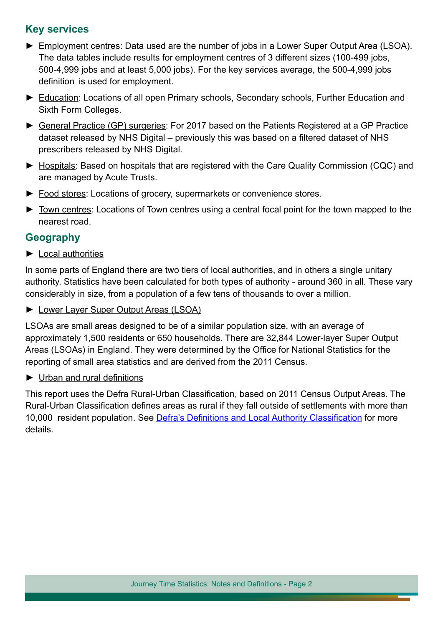# **Key services**

- ► Employment centres: Data used are the number of jobs in a Lower Super Output Area (LSOA). The data tables include results for employment centres of 3 different sizes (100-499 jobs, 500-4,999 jobs and at least 5,000 jobs). For the key services average, the 500-4,999 jobs definition is used for employment.
- ► Education: Locations of all open Primary schools, Secondary schools, Further Education and Sixth Form Colleges.
- ► General Practice (GP) surgeries: For 2017 based on the Patients Registered at a GP Practice dataset released by NHS Digital – previously this was based on a filtered dataset of NHS prescribers released by NHS Digital.
- ► Hospitals: Based on hospitals that are registered with the Care Quality Commission (CQC) and are managed by Acute Trusts.
- ► Food stores: Locations of grocery, supermarkets or convenience stores.
- ► Town centres: Locations of Town centres using a central focal point for the town mapped to the nearest road.

#### **Geography**

► Local authorities

In some parts of England there are two tiers of local authorities, and in others a single unitary authority. Statistics have been calculated for both types of authority - around 360 in all. These vary considerably in size, from a population of a few tens of thousands to over a million.

► Lower Layer Super Output Areas (LSOA)

LSOAs are small areas designed to be of a similar population size, with an average of approximately 1,500 residents or 650 households. There are 32,844 Lower-layer Super Output Areas (LSOAs) in England. They were determined by the Office for National Statistics for the reporting of small area statistics and are derived from the 2011 Census.

► Urban and rural definitions

This report uses the Defra Rural-Urban Classifcation, based on 2011 Census Output Areas. The Rural-Urban Classifcation defnes areas as rural if they fall outside of settlements with more than 10,000 resident population. See **Defra's Definitions and Local Authority Classification** for more details.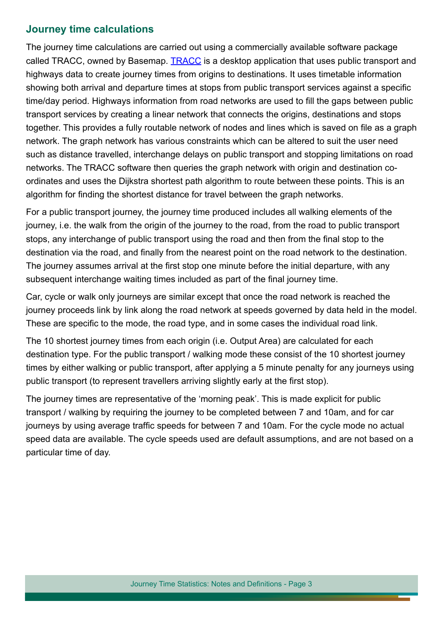#### **Journey time calculations**

The journey time calculations are carried out using a commercially available software package called TRACC, owned by Basemap. [TRACC](https://www.basemap.co.uk/tracc/) is a desktop application that uses public transport and highways data to create journey times from origins to destinations. It uses timetable information showing both arrival and departure times at stops from public transport services against a specifc time/day period. Highways information from road networks are used to fill the gaps between public transport services by creating a linear network that connects the origins, destinations and stops together. This provides a fully routable network of nodes and lines which is saved on fle as a graph network. The graph network has various constraints which can be altered to suit the user need such as distance travelled, interchange delays on public transport and stopping limitations on road networks. The TRACC software then queries the graph network with origin and destination coordinates and uses the Dijkstra shortest path algorithm to route between these points. This is an algorithm for finding the shortest distance for travel between the graph networks.

For a public transport journey, the journey time produced includes all walking elements of the journey, i.e. the walk from the origin of the journey to the road, from the road to public transport stops, any interchange of public transport using the road and then from the fnal stop to the destination via the road, and finally from the nearest point on the road network to the destination. The journey assumes arrival at the first stop one minute before the initial departure, with any subsequent interchange waiting times included as part of the final journey time.

Car, cycle or walk only journeys are similar except that once the road network is reached the journey proceeds link by link along the road network at speeds governed by data held in the model. These are specific to the mode, the road type, and in some cases the individual road link.

The 10 shortest journey times from each origin (i.e. Output Area) are calculated for each destination type. For the public transport / walking mode these consist of the 10 shortest journey times by either walking or public transport, after applying a 5 minute penalty for any journeys using public transport (to represent travellers arriving slightly early at the frst stop).

The journey times are representative of the 'morning peak'. This is made explicit for public transport / walking by requiring the journey to be completed between 7 and 10am, and for car journeys by using average traffic speeds for between 7 and 10am. For the cycle mode no actual speed data are available. The cycle speeds used are default assumptions, and are not based on a particular time of day.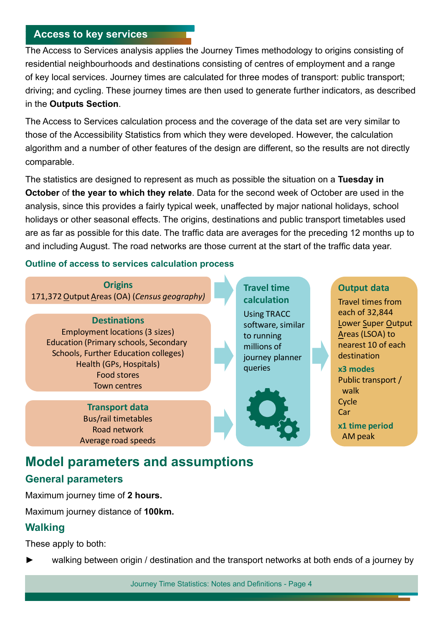#### **Access to key services**

The Access to Services analysis applies the Journey Times methodology to origins consisting of residential neighbourhoods and destinations consisting of centres of employment and a range of key local services. Journey times are calculated for three modes of transport: public transport; driving; and cycling. These journey times are then used to generate further indicators, as described in the **Outputs Section**.

The Access to Services calculation process and the coverage of the data set are very similar to those of the Accessibility Statistics from which they were developed. However, the calculation algorithm and a number of other features of the design are different, so the results are not directly comparable.

The statistics are designed to represent as much as possible the situation on a **Tuesday in October** of **the year to which they relate**. Data for the second week of October are used in the analysis, since this provides a fairly typical week, unaffected by major national holidays, school holidays or other seasonal effects. The origins, destinations and public transport timetables used are as far as possible for this date. The traffic data are averages for the preceding 12 months up to and including August. The road networks are those current at the start of the traffic data year.

#### **Outline of access to services calculation process**

**Origins** 171,372 Output Areas (OA) (*Census geography)*

**Destinations** Employment locations (3 sizes) Education (Primary schools, Secondary Schools, Further Education colleges) Health (GPs, Hospitals) Food stores Town centres

> **Transport data** Bus/rail timetables Road network Average road speeds

**Travel time calculation** Using TRACC software, similar to running millions of journey planner queries



#### **Output data**

Travel times from each of 32,844 Lower Super Output Areas (LSOA) to nearest 10 of each destination **x3 modes** Public transport / walk Cycle **Car x1 time period**  AM peak

# **Model parameters and assumptions**

# **General parameters**

Maximum journey time of **2 hours.**

Maximum journey distance of **100km.**

#### **Walking**

These apply to both:

walking between origin / destination and the transport networks at both ends of a journey by

Journey Time Statistics: Notes and Definitions - Page 4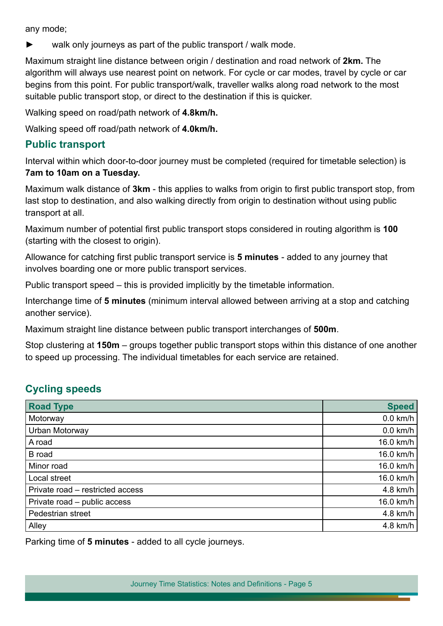any mode;

walk only journeys as part of the public transport / walk mode.

Maximum straight line distance between origin / destination and road network of **2km.** The algorithm will always use nearest point on network. For cycle or car modes, travel by cycle or car begins from this point. For public transport/walk, traveller walks along road network to the most suitable public transport stop, or direct to the destination if this is quicker.

Walking speed on road/path network of **4.8km/h.**

Walking speed off road/path network of **4.0km/h.**

#### **Public transport**

Interval within which door-to-door journey must be completed (required for timetable selection) is **7am to 10am on a Tuesday.**

Maximum walk distance of **3km** - this applies to walks from origin to first public transport stop, from last stop to destination, and also walking directly from origin to destination without using public transport at all.

Maximum number of potential frst public transport stops considered in routing algorithm is **100** (starting with the closest to origin).

Allowance for catching frst public transport service is **5 minutes** - added to any journey that involves boarding one or more public transport services.

Public transport speed – this is provided implicitly by the timetable information.

Interchange time of **5 minutes** (minimum interval allowed between arriving at a stop and catching another service).

Maximum straight line distance between public transport interchanges of **500m**.

Stop clustering at **150m** – groups together public transport stops within this distance of one another to speed up processing. The individual timetables for each service are retained.

# **Cycling speeds**

| <b>Road Type</b>                 | <b>Speed</b> |
|----------------------------------|--------------|
| Motorway                         | $0.0$ km/h   |
| Urban Motorway                   | $0.0$ km/h   |
| A road                           | 16.0 km/h    |
| <b>B</b> road                    | 16.0 km/h    |
| Minor road                       | 16.0 km/h    |
| Local street                     | 16.0 km/h    |
| Private road - restricted access | 4.8 km/h     |
| Private road - public access     | 16.0 km/h    |
| Pedestrian street                | 4.8 km/h     |
| Alley                            | 4.8 km/h     |

Parking time of **5 minutes** - added to all cycle journeys.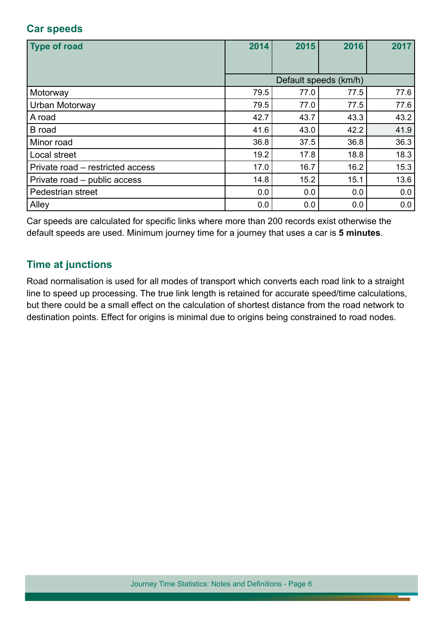# **Car speeds**

| <b>Type of road</b>              | 2014 | 2015 | 2016                  | 2017 |
|----------------------------------|------|------|-----------------------|------|
|                                  |      |      |                       |      |
|                                  |      |      | Default speeds (km/h) |      |
| Motorway                         | 79.5 | 77.0 | 77.5                  | 77.6 |
| Urban Motorway                   | 79.5 | 77.0 | 77.5                  | 77.6 |
| A road                           | 42.7 | 43.7 | 43.3                  | 43.2 |
| <b>B</b> road                    | 41.6 | 43.0 | 42.2                  | 41.9 |
| Minor road                       | 36.8 | 37.5 | 36.8                  | 36.3 |
| Local street                     | 19.2 | 17.8 | 18.8                  | 18.3 |
| Private road – restricted access | 17.0 | 16.7 | 16.2                  | 15.3 |
| Private road - public access     | 14.8 | 15.2 | 15.1                  | 13.6 |
| Pedestrian street                | 0.0  | 0.0  | 0.0                   | 0.0  |
| Alley                            | 0.0  | 0.0  | 0.0                   | 0.0  |

Car speeds are calculated for specifc links where more than 200 records exist otherwise the default speeds are used. Minimum journey time for a journey that uses a car is **5 minutes**.

# **Time at junctions**

Road normalisation is used for all modes of transport which converts each road link to a straight line to speed up processing. The true link length is retained for accurate speed/time calculations, but there could be a small effect on the calculation of shortest distance from the road network to destination points. Effect for origins is minimal due to origins being constrained to road nodes.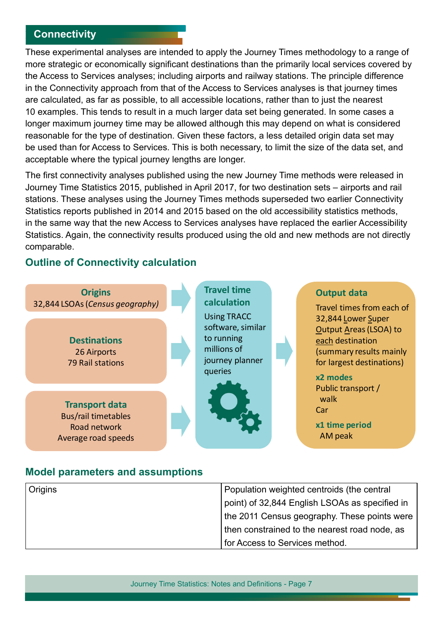## **Connectivity**

These experimental analyses are intended to apply the Journey Times methodology to a range of more strategic or economically significant destinations than the primarily local services covered by the Access to Services analyses; including airports and railway stations. The principle difference in the Connectivity approach from that of the Access to Services analyses is that journey times are calculated, as far as possible, to all accessible locations, rather than to just the nearest 10 examples. This tends to result in a much larger data set being generated. In some cases a longer maximum journey time may be allowed although this may depend on what is considered reasonable for the type of destination. Given these factors, a less detailed origin data set may be used than for Access to Services. This is both necessary, to limit the size of the data set, and acceptable where the typical journey lengths are longer.

The frst connectivity analyses published using the new Journey Time methods were released in Journey Time Statistics 2015, published in April 2017, for two destination sets – airports and rail stations. These analyses using the Journey Times methods superseded two earlier Connectivity Statistics reports published in 2014 and 2015 based on the old accessibility statistics methods, in the same way that the new Access to Services analyses have replaced the earlier Accessibility Statistics. Again, the connectivity results produced using the old and new methods are not directly comparable.

#### **Outline of Connectivity calculation**



#### **Model parameters and assumptions**

| Origins | Population weighted centroids (the central     |
|---------|------------------------------------------------|
|         | point) of 32,844 English LSOAs as specified in |
|         | the 2011 Census geography. These points were   |
|         | then constrained to the nearest road node, as  |
|         | for Access to Services method.                 |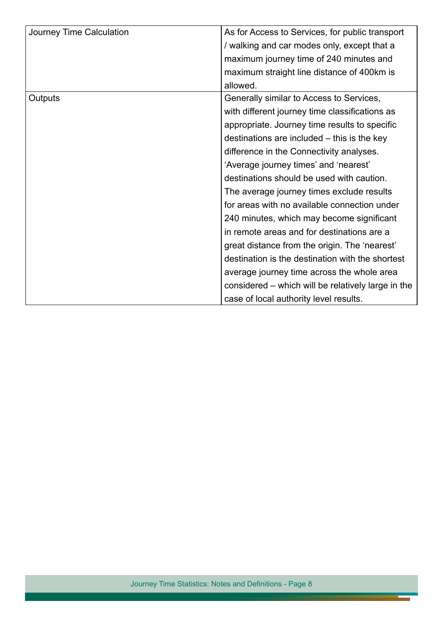| Journey Time Calculation | As for Access to Services, for public transport    |  |  |
|--------------------------|----------------------------------------------------|--|--|
|                          | walking and car modes only, except that a          |  |  |
|                          | maximum journey time of 240 minutes and            |  |  |
|                          | maximum straight line distance of 400km is         |  |  |
|                          | allowed.                                           |  |  |
| Outputs                  | Generally similar to Access to Services,           |  |  |
|                          | with different journey time classifications as     |  |  |
|                          | appropriate. Journey time results to specific      |  |  |
|                          | destinations are included – this is the key        |  |  |
|                          | difference in the Connectivity analyses.           |  |  |
|                          | 'Average journey times' and 'nearest'              |  |  |
|                          | destinations should be used with caution.          |  |  |
|                          | The average journey times exclude results          |  |  |
|                          | for areas with no available connection under       |  |  |
|                          | 240 minutes, which may become significant          |  |  |
|                          | in remote areas and for destinations are a         |  |  |
|                          | great distance from the origin. The 'nearest'      |  |  |
|                          | destination is the destination with the shortest   |  |  |
|                          | average journey time across the whole area         |  |  |
|                          | considered – which will be relatively large in the |  |  |
|                          | case of local authority level results.             |  |  |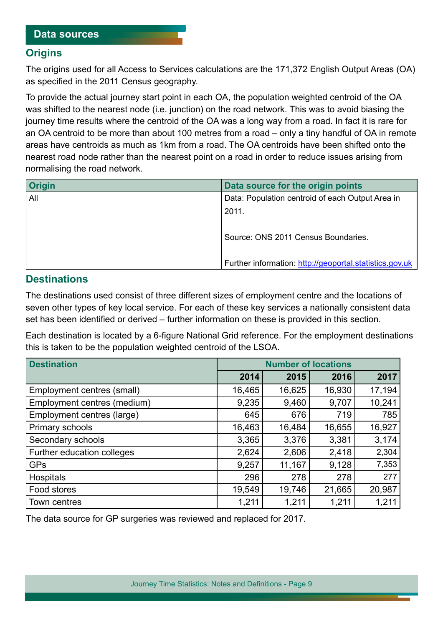#### **Origins**

The origins used for all Access to Services calculations are the 171,372 English Output Areas (OA) as specifed in the 2011 Census geography.

To provide the actual journey start point in each OA, the population weighted centroid of the OA was shifted to the nearest node (i.e. junction) on the road network. This was to avoid biasing the journey time results where the centroid of the OA was a long way from a road. In fact it is rare for an OA centroid to be more than about 100 metres from a road – only a tiny handful of OA in remote areas have centroids as much as 1km from a road. The OA centroids have been shifted onto the nearest road node rather than the nearest point on a road in order to reduce issues arising from normalising the road network.

| <b>Origin</b> | Data source for the origin points                       |  |  |
|---------------|---------------------------------------------------------|--|--|
| All           | Data: Population centroid of each Output Area in        |  |  |
|               | 2011.                                                   |  |  |
|               | Source: ONS 2011 Census Boundaries.                     |  |  |
|               | Further information: http://geoportal.statistics.gov.uk |  |  |

#### **Destinations**

The destinations used consist of three different sizes of employment centre and the locations of seven other types of key local service. For each of these key services a nationally consistent data set has been identifed or derived – further information on these is provided in this section.

Each destination is located by a 6-fgure National Grid reference. For the employment destinations this is taken to be the population weighted centroid of the LSOA.

| <b>Destination</b>          | <b>Number of locations</b> |        |        |        |
|-----------------------------|----------------------------|--------|--------|--------|
|                             | 2014                       | 2015   | 2016   | 2017   |
| Employment centres (small)  | 16,465                     | 16,625 | 16,930 | 17,194 |
| Employment centres (medium) | 9,235                      | 9,460  | 9,707  | 10,241 |
| Employment centres (large)  | 645                        | 676    | 719    | 785    |
| Primary schools             | 16,463                     | 16,484 | 16,655 | 16,927 |
| Secondary schools           | 3,365                      | 3,376  | 3,381  | 3,174  |
| Further education colleges  | 2,624                      | 2,606  | 2,418  | 2,304  |
| <b>GPs</b>                  | 9,257                      | 11,167 | 9,128  | 7,353  |
| Hospitals                   | 296                        | 278    | 278    | 277    |
| Food stores                 | 19,549                     | 19,746 | 21,665 | 20,987 |
| Town centres                | 1,211                      | 1,211  | 1,211  | 1,211  |

The data source for GP surgeries was reviewed and replaced for 2017.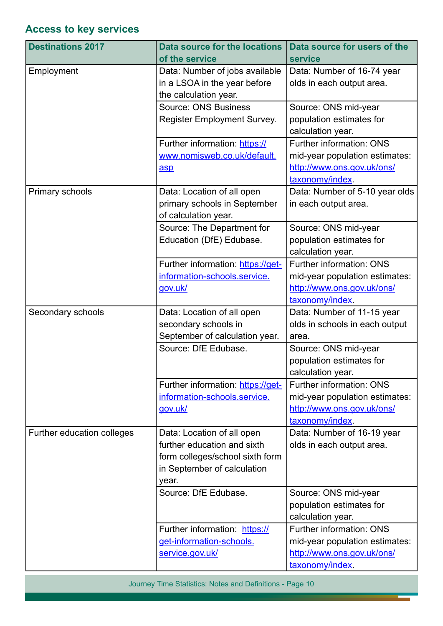# **Access to key services**

| <b>Destinations 2017</b>   | <b>Data source for the locations</b> | Data source for users of the                  |
|----------------------------|--------------------------------------|-----------------------------------------------|
|                            | of the service                       | <b>service</b>                                |
| Employment                 | Data: Number of jobs available       | Data: Number of 16-74 year                    |
|                            | in a LSOA in the year before         | olds in each output area.                     |
|                            | the calculation year.                |                                               |
|                            | <b>Source: ONS Business</b>          | Source: ONS mid-year                          |
|                            | Register Employment Survey.          | population estimates for<br>calculation year. |
|                            | Further information: https://        | <b>Further information: ONS</b>               |
|                            | www.nomisweb.co.uk/default.          | mid-year population estimates:                |
|                            | asp                                  | http://www.ons.gov.uk/ons/                    |
|                            |                                      | taxonomy/index.                               |
| Primary schools            | Data: Location of all open           | Data: Number of 5-10 year olds                |
|                            | primary schools in September         | in each output area.                          |
|                            | of calculation year.                 |                                               |
|                            | Source: The Department for           | Source: ONS mid-year                          |
|                            | Education (DfE) Edubase.             | population estimates for                      |
|                            |                                      | calculation year.                             |
|                            | Further information: https://get-    | Further information: ONS                      |
|                            | information-schools.service.         | mid-year population estimates:                |
|                            | gov.uk/                              | http://www.ons.gov.uk/ons/                    |
|                            |                                      | taxonomy/index.                               |
| Secondary schools          | Data: Location of all open           | Data: Number of 11-15 year                    |
|                            | secondary schools in                 | olds in schools in each output                |
|                            |                                      |                                               |
|                            | September of calculation year.       | area.                                         |
|                            | Source: DfE Edubase.                 | Source: ONS mid-year                          |
|                            |                                      | population estimates for                      |
|                            |                                      | calculation year.                             |
|                            | Further information: https://get-    | <b>Further information: ONS</b>               |
|                            | information-schools.service.         | mid-year population estimates:                |
|                            | gov.uk/                              | http://www.ons.gov.uk/ons/                    |
|                            |                                      | taxonomy/index.                               |
| Further education colleges | Data: Location of all open           | Data: Number of 16-19 year                    |
|                            | further education and sixth          | olds in each output area.                     |
|                            | form colleges/school sixth form      |                                               |
|                            | in September of calculation          |                                               |
|                            | year.                                |                                               |
|                            | Source: DfE Edubase.                 | Source: ONS mid-year                          |
|                            |                                      | population estimates for                      |
|                            |                                      | calculation year.                             |
|                            | Further information: https://        | <b>Further information: ONS</b>               |
|                            | get-information-schools.             | mid-year population estimates:                |
|                            | service.gov.uk/                      | http://www.ons.gov.uk/ons/<br>taxonomy/index. |

Journey Time Statistics: Notes and Definitions - Page 10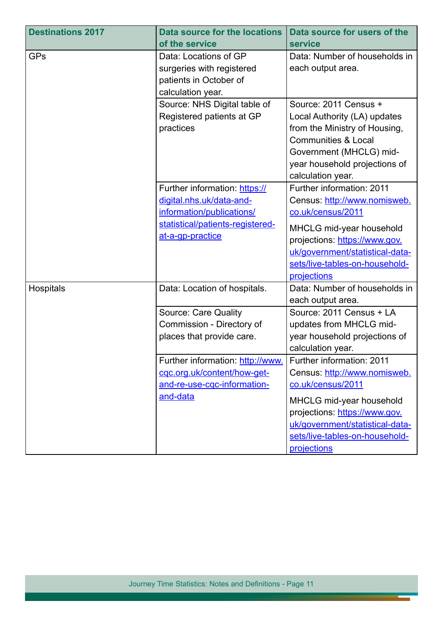| <b>Destinations 2017</b> | <b>Data source for the locations</b> | Data source for users of the    |
|--------------------------|--------------------------------------|---------------------------------|
|                          | of the service                       | service                         |
| <b>GPs</b>               | Data: Locations of GP                | Data: Number of households in   |
|                          | surgeries with registered            | each output area.               |
|                          | patients in October of               |                                 |
|                          | calculation year.                    |                                 |
|                          | Source: NHS Digital table of         | Source: 2011 Census +           |
|                          | Registered patients at GP            | Local Authority (LA) updates    |
|                          | practices                            | from the Ministry of Housing,   |
|                          |                                      | <b>Communities &amp; Local</b>  |
|                          |                                      | Government (MHCLG) mid-         |
|                          |                                      | year household projections of   |
|                          |                                      | calculation year.               |
|                          | Further information: https://        | Further information: 2011       |
|                          | digital.nhs.uk/data-and-             | Census: http://www.nomisweb.    |
|                          | information/publications/            | co.uk/census/2011               |
|                          | statistical/patients-registered-     | MHCLG mid-year household        |
|                          | at-a-gp-practice                     | projections: https://www.gov.   |
|                          |                                      | uk/government/statistical-data- |
|                          |                                      | sets/live-tables-on-household-  |
|                          |                                      | projections                     |
| Hospitals                | Data: Location of hospitals.         | Data: Number of households in   |
|                          |                                      | each output area.               |
|                          | Source: Care Quality                 | Source: 2011 Census + LA        |
|                          | Commission - Directory of            | updates from MHCLG mid-         |
|                          | places that provide care.            | year household projections of   |
|                          |                                      | calculation year.               |
|                          | Further information: http://www.     | Further information: 2011       |
|                          | cgc.org.uk/content/how-get-          | Census: http://www.nomisweb.    |
|                          | and-re-use-cgc-information-          | co.uk/census/2011               |
|                          | and-data                             | MHCLG mid-year household        |
|                          |                                      | projections: https://www.gov.   |
|                          |                                      | uk/government/statistical-data- |
|                          |                                      | sets/live-tables-on-household-  |
|                          |                                      | projections                     |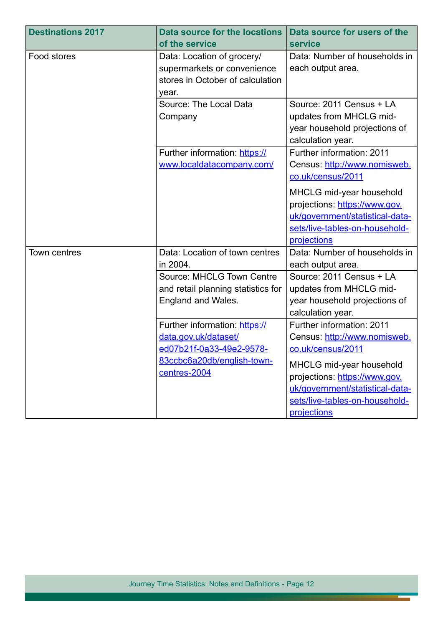| <b>Destinations 2017</b> | <b>Data source for the locations</b>                                                                                            | Data source for users of the                                                                                                                                                                                                    |
|--------------------------|---------------------------------------------------------------------------------------------------------------------------------|---------------------------------------------------------------------------------------------------------------------------------------------------------------------------------------------------------------------------------|
|                          | of the service                                                                                                                  | service                                                                                                                                                                                                                         |
| Food stores              | Data: Location of grocery/<br>supermarkets or convenience<br>stores in October of calculation<br>year.                          | Data: Number of households in<br>each output area.                                                                                                                                                                              |
|                          | Source: The Local Data<br>Company                                                                                               | Source: 2011 Census + LA<br>updates from MHCLG mid-<br>year household projections of<br>calculation year.                                                                                                                       |
|                          | Further information: https://<br>www.localdatacompany.com/                                                                      | Further information: 2011<br>Census: http://www.nomisweb.<br>co.uk/census/2011                                                                                                                                                  |
|                          |                                                                                                                                 | MHCLG mid-year household<br>projections: https://www.gov.<br>uk/government/statistical-data-<br>sets/live-tables-on-household-<br>projections                                                                                   |
| Town centres             | Data: Location of town centres<br>in 2004.                                                                                      | Data: Number of households in<br>each output area.                                                                                                                                                                              |
|                          | Source: MHCLG Town Centre<br>and retail planning statistics for<br>England and Wales.                                           | Source: 2011 Census + LA<br>updates from MHCLG mid-<br>year household projections of<br>calculation year.                                                                                                                       |
|                          | Further information: https://<br>data.gov.uk/dataset/<br>ed07b21f-0a33-49e2-9578-<br>83ccbc6a20db/english-town-<br>centres-2004 | Further information: 2011<br>Census: http://www.nomisweb.<br>co.uk/census/2011<br>MHCLG mid-year household<br>projections: https://www.gov.<br>uk/government/statistical-data-<br>sets/live-tables-on-household-<br>projections |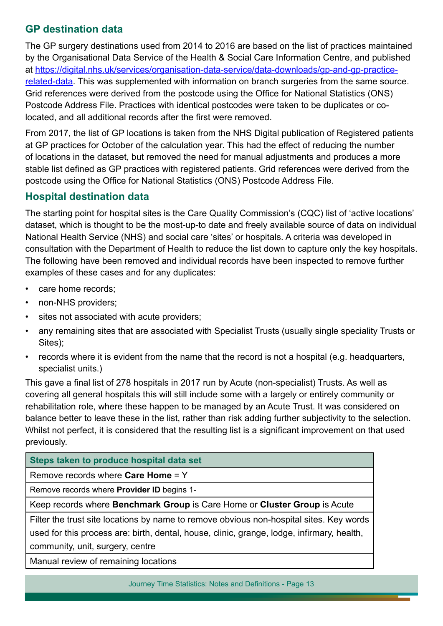# **GP destination data**

The GP surgery destinations used from 2014 to 2016 are based on the list of practices maintained by the Organisational Data Service of the Health & Social Care Information Centre, and published at [https://digital.nhs.uk/services/organisation-data-service/data-downloads/gp-and-gp-practice](https://digital.nhs.uk/services/organisation-data-service/data-downloads/gp-and-gp-practice-related-data)[related-data](https://digital.nhs.uk/services/organisation-data-service/data-downloads/gp-and-gp-practice-related-data). This was supplemented with information on branch surgeries from the same source. Grid references were derived from the postcode using the Office for National Statistics (ONS) Postcode Address File. Practices with identical postcodes were taken to be duplicates or colocated, and all additional records after the first were removed.

From 2017, the list of GP locations is taken from the NHS Digital publication of Registered patients at GP practices for October of the calculation year. This had the effect of reducing the number of locations in the dataset, but removed the need for manual adjustments and produces a more stable list defned as GP practices with registered patients. Grid references were derived from the postcode using the Office for National Statistics (ONS) Postcode Address File.

# **Hospital destination data**

The starting point for hospital sites is the Care Quality Commission's (CQC) list of 'active locations' dataset, which is thought to be the most-up-to date and freely available source of data on individual National Health Service (NHS) and social care 'sites' or hospitals. A criteria was developed in consultation with the Department of Health to reduce the list down to capture only the key hospitals. The following have been removed and individual records have been inspected to remove further examples of these cases and for any duplicates:

- care home records;
- non-NHS providers;
- sites not associated with acute providers;
- any remaining sites that are associated with Specialist Trusts (usually single speciality Trusts or Sites);
- records where it is evident from the name that the record is not a hospital (e.g. headquarters, specialist units.)

This gave a fnal list of 278 hospitals in 2017 run by Acute (non-specialist) Trusts. As well as covering all general hospitals this will still include some with a largely or entirely community or rehabilitation role, where these happen to be managed by an Acute Trust. It was considered on balance better to leave these in the list, rather than risk adding further subjectivity to the selection. Whilst not perfect, it is considered that the resulting list is a significant improvement on that used previously.

**Steps taken to produce hospital data set**

Remove records where **Care Home** = Y

Remove records where **Provider ID** begins 1-

Keep records where **Benchmark Group** is Care Home or **Cluster Group** is Acute

Filter the trust site locations by name to remove obvious non-hospital sites. Key words

used for this process are: birth, dental, house, clinic, grange, lodge, infrmary, health, community, unit, surgery, centre

Manual review of remaining locations

Journey Time Statistics: Notes and Definitions - Page 13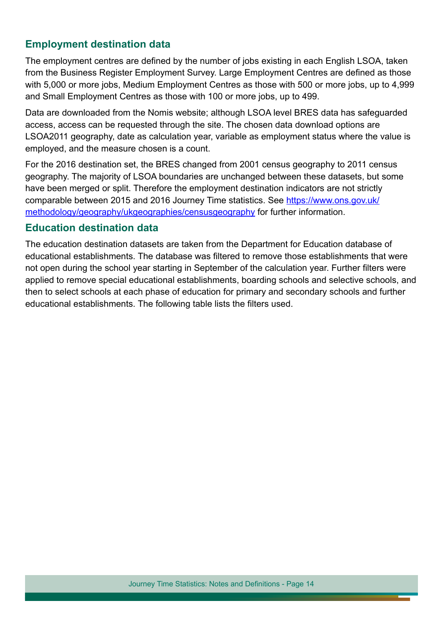# **Employment destination data**

The employment centres are defined by the number of jobs existing in each English LSOA, taken from the Business Register Employment Survey. Large Employment Centres are defned as those with 5,000 or more jobs, Medium Employment Centres as those with 500 or more jobs, up to 4,999 and Small Employment Centres as those with 100 or more jobs, up to 499.

Data are downloaded from the Nomis website; although LSOA level BRES data has safeguarded access, access can be requested through the site. The chosen data download options are LSOA2011 geography, date as calculation year, variable as employment status where the value is employed, and the measure chosen is a count.

For the 2016 destination set, the BRES changed from 2001 census geography to 2011 census geography. The majority of LSOA boundaries are unchanged between these datasets, but some have been merged or split. Therefore the employment destination indicators are not strictly comparable between 2015 and 2016 Journey Time statistics. See [https://www.ons.gov.uk/](https://www.ons.gov.uk/methodology/geography/ukgeographies/censusgeography) [methodology/geography/ukgeographies/censusgeography](https://www.ons.gov.uk/methodology/geography/ukgeographies/censusgeography) for further information.

#### **Education destination data**

The education destination datasets are taken from the Department for Education database of educational establishments. The database was fltered to remove those establishments that were not open during the school year starting in September of the calculation year. Further flters were applied to remove special educational establishments, boarding schools and selective schools, and then to select schools at each phase of education for primary and secondary schools and further educational establishments. The following table lists the flters used.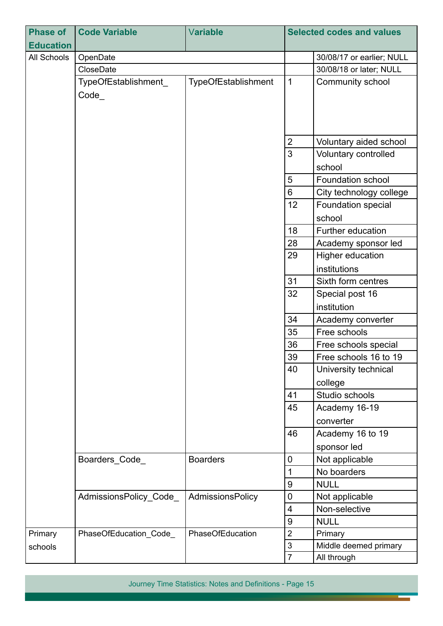| <b>Phase of</b>  | <b>Code Variable</b>   | Variable            | <b>Selected codes and values</b>      |                           |
|------------------|------------------------|---------------------|---------------------------------------|---------------------------|
| <b>Education</b> |                        |                     |                                       |                           |
| All Schools      | OpenDate               |                     |                                       | 30/08/17 or earlier; NULL |
|                  | CloseDate              |                     |                                       | 30/08/18 or later; NULL   |
|                  | TypeOfEstablishment    | TypeOfEstablishment | 1                                     | Community school          |
|                  | $Code_$                |                     |                                       |                           |
|                  |                        |                     |                                       |                           |
|                  |                        |                     |                                       |                           |
|                  |                        |                     |                                       |                           |
|                  |                        |                     | $\overline{2}$                        | Voluntary aided school    |
|                  |                        |                     | $\overline{3}$                        | Voluntary controlled      |
|                  |                        |                     |                                       | school                    |
|                  |                        |                     | 5                                     | <b>Foundation school</b>  |
|                  |                        |                     | 6                                     | City technology college   |
|                  |                        |                     | 12                                    | Foundation special        |
|                  |                        |                     |                                       | school                    |
|                  |                        |                     | 18                                    | Further education         |
|                  |                        |                     | 28                                    | Academy sponsor led       |
|                  |                        |                     | 29                                    | Higher education          |
|                  |                        |                     |                                       | institutions              |
|                  |                        |                     | 31                                    | Sixth form centres        |
|                  |                        |                     | 32                                    | Special post 16           |
|                  |                        |                     |                                       | institution               |
|                  |                        |                     | 34                                    | Academy converter         |
|                  |                        |                     | 35                                    | Free schools              |
|                  |                        |                     | 36                                    | Free schools special      |
|                  |                        |                     | 39                                    | Free schools 16 to 19     |
|                  |                        |                     | 40<br>University technical<br>college |                           |
|                  |                        |                     |                                       |                           |
|                  |                        |                     | 41                                    | Studio schools            |
|                  |                        |                     | 45                                    | Academy 16-19             |
|                  |                        |                     |                                       | converter                 |
|                  |                        |                     | 46                                    | Academy 16 to 19          |
|                  |                        |                     |                                       | sponsor led               |
|                  | Boarders Code          | <b>Boarders</b>     | $\mathbf 0$                           | Not applicable            |
|                  |                        |                     | 1                                     | No boarders               |
|                  |                        |                     | $9\,$                                 | <b>NULL</b>               |
|                  | AdmissionsPolicy_Code_ | AdmissionsPolicy    | $\mathbf 0$                           | Not applicable            |
|                  |                        |                     | 4                                     | Non-selective             |
|                  |                        |                     | $9\,$                                 | <b>NULL</b>               |
| Primary          | PhaseOfEducation_Code_ | PhaseOfEducation    | $\overline{2}$                        | Primary                   |
| schools          |                        |                     | $\sqrt{3}$                            | Middle deemed primary     |
|                  |                        |                     | $\overline{7}$                        | All through               |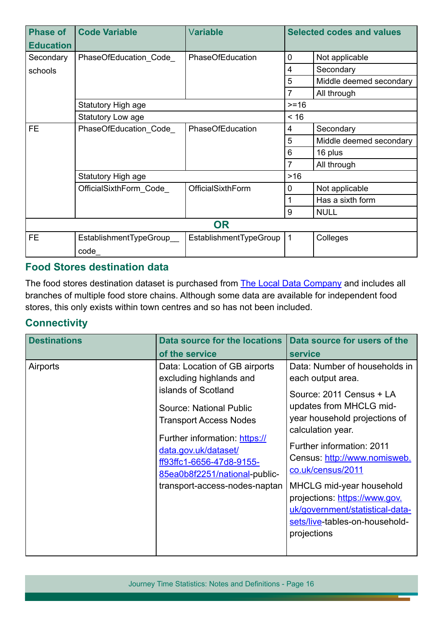| <b>Phase of</b><br><b>Education</b> | <b>Code Variable</b>    | Variable               |             | <b>Selected codes and values</b> |  |
|-------------------------------------|-------------------------|------------------------|-------------|----------------------------------|--|
| Secondary                           | PhaseOfEducation_Code_  | PhaseOfEducation       | 0           | Not applicable                   |  |
| schools                             |                         |                        | 4           | Secondary                        |  |
|                                     |                         |                        | 5           | Middle deemed secondary          |  |
|                                     |                         |                        | 7           | All through                      |  |
|                                     | Statutory High age      |                        | $>= 16$     |                                  |  |
|                                     | Statutory Low age       |                        | < 16        |                                  |  |
| FE.                                 | PhaseOfEducation Code   | PhaseOfEducation       | 4           | Secondary                        |  |
|                                     |                         |                        | 5           | Middle deemed secondary          |  |
|                                     |                         |                        | 6           | 16 plus                          |  |
|                                     |                         |                        | 7           | All through                      |  |
|                                     | Statutory High age      |                        | >16         |                                  |  |
|                                     | OfficialSixthForm_Code_ | OfficialSixthForm      | $\mathbf 0$ | Not applicable                   |  |
|                                     |                         |                        | 1           | Has a sixth form                 |  |
|                                     |                         |                        | 9           | <b>NULL</b>                      |  |
| <b>OR</b>                           |                         |                        |             |                                  |  |
| <b>FE</b>                           | EstablishmentTypeGroup  | EstablishmentTypeGroup | $\mathbf 1$ | Colleges                         |  |
|                                     | code                    |                        |             |                                  |  |

#### **Food Stores destination data**

The food stores destination dataset is purchased from [The Local Data Company](https://www.localdatacompany.com/) and includes all branches of multiple food store chains. Although some data are available for independent food stores, this only exists within town centres and so has not been included.

# **Connectivity**

| <b>Destinations</b> | <b>Data source for the locations</b><br>of the service                                                                                                                                                                                                                                             | Data source for users of the<br><b>service</b>                                                                                                                                                                                                                                                                                                                                                            |
|---------------------|----------------------------------------------------------------------------------------------------------------------------------------------------------------------------------------------------------------------------------------------------------------------------------------------------|-----------------------------------------------------------------------------------------------------------------------------------------------------------------------------------------------------------------------------------------------------------------------------------------------------------------------------------------------------------------------------------------------------------|
| Airports            | Data: Location of GB airports<br>excluding highlands and<br>islands of Scotland<br>Source: National Public<br><b>Transport Access Nodes</b><br>Further information: https://<br>data.gov.uk/dataset/<br>ff93ffc1-6656-47d8-9155-<br>85ea0b8f2251/national-public-<br>transport-access-nodes-naptan | Data: Number of households in<br>each output area.<br>Source: 2011 Census + LA<br>updates from MHCLG mid-<br>year household projections of<br>calculation year.<br><b>Further information: 2011</b><br>Census: http://www.nomisweb.<br>co.uk/census/2011<br>MHCLG mid-year household<br>projections: https://www.gov.<br>uk/government/statistical-data-<br>sets/live-tables-on-household-<br>projections |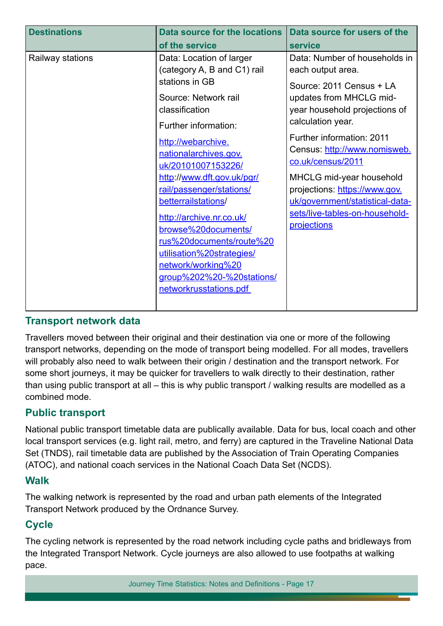| <b>Destinations</b> | <b>Data source for the locations</b>                                                                                                                                                                                                                                                                                                                                                                                                                                                       | Data source for users of the                                                                                                                                                                                                                                                                                                                                                                       |
|---------------------|--------------------------------------------------------------------------------------------------------------------------------------------------------------------------------------------------------------------------------------------------------------------------------------------------------------------------------------------------------------------------------------------------------------------------------------------------------------------------------------------|----------------------------------------------------------------------------------------------------------------------------------------------------------------------------------------------------------------------------------------------------------------------------------------------------------------------------------------------------------------------------------------------------|
|                     | of the service                                                                                                                                                                                                                                                                                                                                                                                                                                                                             | service                                                                                                                                                                                                                                                                                                                                                                                            |
| Railway stations    | Data: Location of larger<br>(category A, B and C1) rail<br>stations in GB<br>Source: Network rail<br>classification<br>Further information:<br>http://webarchive.<br>nationalarchives.gov.<br>uk/20101007153226/<br>http://www.dft.gov.uk/pgr/<br>rail/passenger/stations/<br>betterrailstations/<br>http://archive.nr.co.uk/<br>browse%20documents/<br>rus%20documents/route%20<br>utilisation%20strategies/<br>network/working%20<br>group%202%20-%20stations/<br>networkrusstations.pdf | Data: Number of households in<br>each output area.<br>Source: 2011 Census + LA<br>updates from MHCLG mid-<br>year household projections of<br>calculation year.<br>Further information: 2011<br>Census: http://www.nomisweb.<br>co.uk/census/2011<br>MHCLG mid-year household<br>projections: https://www.gov.<br>uk/government/statistical-data-<br>sets/live-tables-on-household-<br>projections |
|                     |                                                                                                                                                                                                                                                                                                                                                                                                                                                                                            |                                                                                                                                                                                                                                                                                                                                                                                                    |
|                     |                                                                                                                                                                                                                                                                                                                                                                                                                                                                                            |                                                                                                                                                                                                                                                                                                                                                                                                    |
|                     |                                                                                                                                                                                                                                                                                                                                                                                                                                                                                            |                                                                                                                                                                                                                                                                                                                                                                                                    |

#### **Transport network data**

Travellers moved between their original and their destination via one or more of the following transport networks, depending on the mode of transport being modelled. For all modes, travellers will probably also need to walk between their origin / destination and the transport network. For some short journeys, it may be quicker for travellers to walk directly to their destination, rather than using public transport at all – this is why public transport / walking results are modelled as a combined mode.

# **Public transport**

National public transport timetable data are publically available. Data for bus, local coach and other local transport services (e.g. light rail, metro, and ferry) are captured in the Traveline National Data Set (TNDS), rail timetable data are published by the Association of Train Operating Companies (ATOC), and national coach services in the National Coach Data Set (NCDS).

#### **Walk**

The walking network is represented by the road and urban path elements of the Integrated Transport Network produced by the Ordnance Survey.

# **Cycle**

The cycling network is represented by the road network including cycle paths and bridleways from the Integrated Transport Network. Cycle journeys are also allowed to use footpaths at walking pace.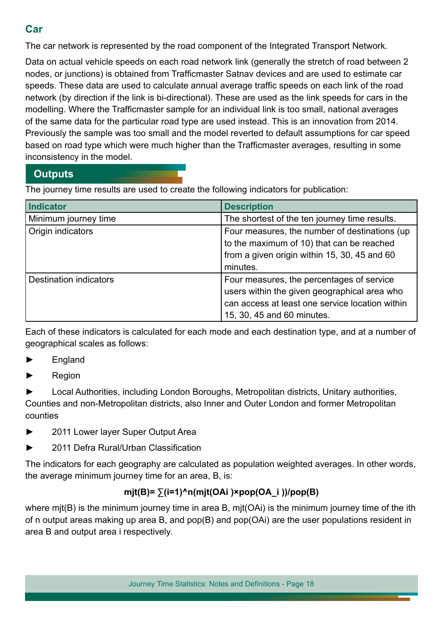# **Car**

The car network is represented by the road component of the Integrated Transport Network.

Data on actual vehicle speeds on each road network link (generally the stretch of road between 2 nodes, or junctions) is obtained from Trafficmaster Satnav devices and are used to estimate car speeds. These data are used to calculate annual average traffic speeds on each link of the road network (by direction if the link is bi-directional). These are used as the link speeds for cars in the modelling. Where the Trafficmaster sample for an individual link is too small, national averages of the same data for the particular road type are used instead. This is an innovation from 2014. Previously the sample was too small and the model reverted to default assumptions for car speed based on road type which were much higher than the Traffcmaster averages, resulting in some inconsistency in the model.

# **Outputs**

The journey time results are used to create the following indicators for publication:

| Indicator                     | <b>Description</b>                                                                                                                                                         |
|-------------------------------|----------------------------------------------------------------------------------------------------------------------------------------------------------------------------|
| Minimum journey time          | The shortest of the ten journey time results.                                                                                                                              |
| Origin indicators             | Four measures, the number of destinations (up<br>to the maximum of 10) that can be reached<br>from a given origin within 15, 30, 45 and 60<br>minutes.                     |
| <b>Destination indicators</b> | Four measures, the percentages of service<br>users within the given geographical area who<br>can access at least one service location within<br>15, 30, 45 and 60 minutes. |

Each of these indicators is calculated for each mode and each destination type, and at a number of geographical scales as follows:

- ► England
- ► Region

► Local Authorities, including London Boroughs, Metropolitan districts, Unitary authorities, Counties and non-Metropolitan districts, also Inner and Outer London and former Metropolitan counties

- ► 2011 Lower layer Super Output Area
- ► 2011 Defra Rural/Urban Classifcation

The indicators for each geography are calculated as population weighted averages. In other words, the average minimum journey time for an area, B, is:

# **mjt(B)= ∑(i=1)^n(mjt(OAi )×pop(OA\_i ))/pop(B)**

where mit(B) is the minimum journey time in area B, mit(OAi) is the minimum journey time of the ith of n output areas making up area B, and pop(B) and pop(OAi) are the user populations resident in area B and output area i respectively.